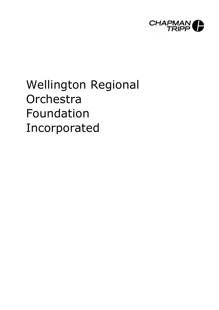

# Wellington Regional **Orchestra** Foundation Incorporated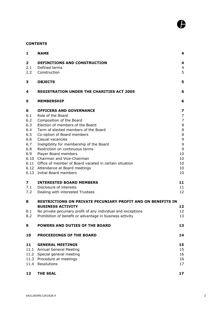# **CONTENTS**

| $\mathbf{1}$            | <b>NAME</b>                                                                              | 4              |
|-------------------------|------------------------------------------------------------------------------------------|----------------|
| $\mathbf{2}$            | <b>DEFINITIONS AND CONSTRUCTION</b>                                                      | 4              |
| 2.1                     | Defined terms                                                                            | $\overline{4}$ |
| 2.2                     | Construction                                                                             | 5              |
| 3                       | <b>OBJECTS</b>                                                                           | 5              |
| 4                       | <b>REGISTRATION UNDER THE CHARITIES ACT 2005</b>                                         | 6              |
| 5                       | <b>MEMBERSHIP</b>                                                                        | 6              |
| 6                       | <b>OFFICERS AND GOVERNANCE</b>                                                           | 7              |
| 6.1                     | Role of the Board                                                                        | $\overline{7}$ |
| 6.2                     | Composition of the Board                                                                 | $\overline{7}$ |
| 6.3                     | Election of members of the Board                                                         | 8              |
| 6.4                     | Term of elected members of the Board                                                     | $\,8\,$        |
| 6.5<br>6.6              | Co-option of Board members<br>Casual vacancies                                           | $\,8\,$<br>9   |
| 6.7                     | Ineligibility for membership of the Board                                                | 9              |
| 6.8                     | Restriction on continuous terms                                                          | 9              |
| 6.9                     | Player Board members                                                                     | 10             |
| 6.10                    | Chairman and Vice-Chairman                                                               | 10             |
|                         | 6.11 Office of member of Board vacated in certain situation                              | 10             |
|                         | 6.12 Attendance at Board meetings                                                        | 10             |
|                         | 6.13 Initial Board members                                                               | 10             |
| $\overline{\mathbf{z}}$ | <b>INTERESTED BOARD MEMBERS</b>                                                          | 11             |
| 7.1                     | Disclosure of interests                                                                  | 11             |
| 7.2                     | Dealing with interested Trustees                                                         | 12             |
| 8                       | <b>RESTRICTIONS ON PRIVATE PECUNIARY PROFIT AND ON BENEFITS IN</b>                       |                |
|                         | <b>BUSINESS ACTIVITY</b><br>No private pecuniary profit of any individual and exceptions | 12<br>12       |
| 8.1<br>8.2              | Prohibition of benefit or advantage in business activity                                 | 13             |
| 9                       | POWERS AND DUTIES OF THE BOARD                                                           | 13             |
| 10                      | <b>PROCEEDINGS OF THE BOARD</b>                                                          | 14             |
| 11                      | <b>GENERAL MEETINGS</b>                                                                  | 15             |
|                         | 11.1 Annual General Meeting                                                              | 15             |
|                         | 11.2 Special general meeting                                                             | 16             |
|                         | 11.3 Procedure at meetings                                                               | 16             |
|                         | 11.4 Resolutions                                                                         | 17             |
| 12 <sub>2</sub>         | <b>THE SEAL</b>                                                                          | 17             |

ß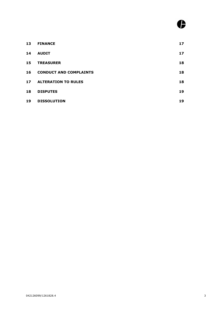| 13 | <b>FINANCE</b>                | 17 |
|----|-------------------------------|----|
| 14 | <b>AUDIT</b>                  | 17 |
| 15 | <b>TREASURER</b>              | 18 |
| 16 | <b>CONDUCT AND COMPLAINTS</b> | 18 |
| 17 | <b>ALTERATION TO RULES</b>    | 18 |
| 18 | <b>DISPUTES</b>               | 19 |
| 19 | <b>DISSOLUTION</b>            | 19 |

ß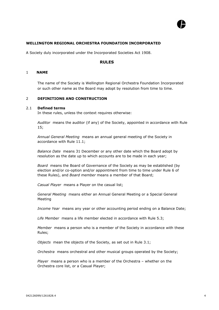

## **WELLINGTON REGIONAL ORCHESTRA FOUNDATION INCORPORATED**

A Society duly incorporated under the Incorporated Societies Act 1908.

#### **RULES**

#### 1 **NAME**

The name of the Society is Wellington Regional Orchestra Foundation Incorporated or such other name as the Board may adopt by resolution from time to time.

#### <span id="page-3-0"></span>2 **DEFINITIONS AND CONSTRUCTION**

#### 2.1 **Defined terms**

<span id="page-3-1"></span>In these rules, unless the context requires otherwise:

*Auditor* means the auditor (if any) of the Society, appointed in accordance with Rule 15;

*Annual General Meeting* means an annual general meeting of the Society in accordance with Rule 11.1;

*Balance Date* means 31 December or any other date which the Board adopt by resolution as the date up to which accounts are to be made in each year;

*Board* means the Board of Governance of the Society as may be established (by election and/or co-option and/or appointment from time to time under Rule 6 of these Rules), and *Board member* means a member of that Board;

*Casual Player* means a Player on the casual list;

*General Meeting* means either an Annual General Meeting or a Special General Meeting

*Income Year* means any year or other accounting period ending on a Balance Date;

*Life Member* means a life member elected in accordance with Rule 5.3;

*Member* means a person who is a member of the Society in accordance with these Rules;

*Objects* mean the objects of the Society, as set out in Rule 3.1;

*Orchestra* means orchestral and other musical groups operated by the Society;

*Player* means a person who is a member of the Orchestra – whether on the Orchestra core list, or a Casual Player;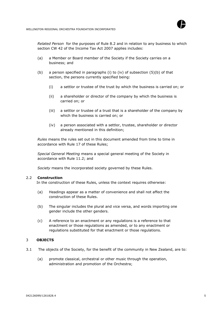

*Related Person* for the purposes of Rule 8.2 and in relation to any business to which section CW 42 of the Income Tax Act 2007 applies includes:

- (a) a Member or Board member of the Society if the Society carries on a business; and
- (b) a person specified in paragraphs (i) to (iv) of subsection (5)(b) of that section, the persons currently specified being:
	- (i) a settlor or trustee of the trust by which the business is carried on; or
	- (ii) a shareholder or director of the company by which the business is carried on; or
	- (iii) a settlor or trustee of a trust that is a shareholder of the company by which the business is carried on; or
	- (iv) a person associated with a settlor, trustee, shareholder or director already mentioned in this definition;

*Rules* means the rules set out in this document amended from time to time in accordance with Rule 17 of these Rules;

*Special General Meeting* means a special general meeting of the Society in accordance with Rule 11.2; and

*Society* means the incorporated society governed by these Rules.

#### 2.2 **Construction**

<span id="page-4-0"></span>In the construction of these Rules, unless the context requires otherwise:

- (a) Headings appear as a matter of convenience and shall not affect the construction of these Rules.
- (b) The singular includes the plural and vice versa, and words importing one gender include the other genders.
- (c) A reference to an enactment or any regulations is a reference to that enactment or those regulations as amended, or to any enactment or regulations substituted for that enactment or those regulations.

# <span id="page-4-1"></span>3 **OBJECTS**

- 3.1 The objects of the Society, for the benefit of the community in New Zealand, are to:
	- (a) promote classical, orchestral or other music through the operation, administration and promotion of the Orchestra;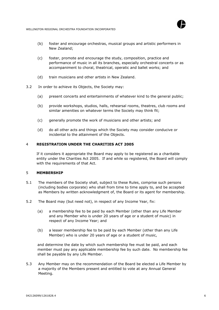

- (b) foster and encourage orchestras, musical groups and artistic performers in New Zealand;
- (c) foster, promote and encourage the study, composition, practice and performance of music in all its branches, especially orchestral concerts or as accompaniment to choral, theatrical, operatic and ballet works; and
- (d) train musicians and other artists in New Zealand.
- 3.2 In order to achieve its Objects, the Society may:
	- (a) present concerts and entertainments of whatever kind to the general public;
	- (b) provide workshops, studios, halls, rehearsal rooms, theatres, club rooms and similar amenities on whatever terms the Society may think fit;
	- (c) generally promote the work of musicians and other artists; and
	- (d) do all other acts and things which the Society may consider conducive or incidental to the attainment of the Objects.

# 4 **REGISTRATION UNDER THE CHARITIES ACT 2005**

<span id="page-5-0"></span>If it considers it appropriate the Board may apply to be registered as a charitable entity under the Charities Act 2005. If and while so registered, the Board will comply with the requirements of that Act.

# <span id="page-5-1"></span>5 **MEMBERSHIP**

- 5.1 The members of the Society shall, subject to these Rules, comprise such persons (including bodies corporate) who shall from time to time apply to, and be accepted as Members by written acknowledgment of, the Board or its agent for membership.
- 5.2 The Board may (but need not), in respect of any Income Year, fix:
	- (a) a membership fee to be paid by each Member (other than any Life Member and any Member who is under 20 years of age or a student of music) in respect of any Income Year; and
	- (b) a lesser membership fee to be paid by each Member (other than any Life Member) who is under 20 years of age or a student of music,

and determine the date by which such membership fee must be paid, and each member must pay any applicable membership fee by such date. No membership fee shall be payable by any Life Member.

5.3 Any Member may on the recommendation of the Board be elected a Life Member by a majority of the Members present and entitled to vote at any Annual General Meeting.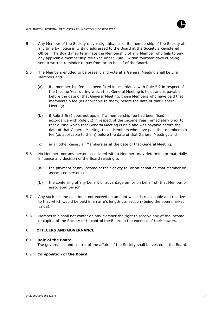



- 5.4 Any Member of the Society may resign his, her or its membership of the Society at any time by notice in writing addressed to the Board at the Society's Registered Office. The Board may terminate the Membership of any Member who fails to pay any applicable membership fee fixed under Rule 5.within fourteen days of being sent a written reminder to pay from or on behalf of the Board.
- 5.5 The Members entitled to be present and vote at a General Meeting shall be Life Members and :
	- (a) if a membership fee has been fixed in accordance with Rule 5.2 in respect of the Income Year during which that General Meeting is held, and is payable before the date of that General Meeting, those Members who have paid that membership fee (as applicable to them) before the date of that General Meeting;
	- (b) if Rule 5.5(a) does not apply, if a membership fee had been fixed in accordance with Rule 5.2 in respect of the Income Year immediately prior to that during which that General Meeting is held and was payable before the date of that General Meeting, those Members who have paid that membership fee (as applicable to them) before the date of that General Meeting; and
	- (c) in all other cases, all Members as at the date of that General Meeting.
- 5.6 No Member, nor any person associated with a Member, may determine or materially influence any decision of the Board relating to:
	- (a) the payment of any income of the Society to, or on behalf of, that Member or associated person; or
	- (b) the conferring of any benefit or advantage on, or on behalf of, that Member or associated person.
- 5.7 Any such income paid must not exceed an amount which is reasonable and relative to that which would be paid in an arm's length transaction (being the open market value).
- 5.8 Membership shall not confer on any Member the right to receive any of the income or capital of the Society or to control the Board in the exercise of their powers.

# <span id="page-6-0"></span>6 **OFFICERS AND GOVERNANCE**

# 6.1 **Role of the Board**

<span id="page-6-2"></span><span id="page-6-1"></span>The governance and control of the affairs of the Society shall be vested in the Board.

# 6.2 **Composition of the Board**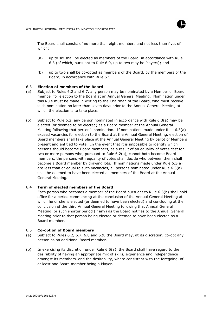

The Board shall consist of no more than eight members and not less than five, of which:

- (a) up to six shall be elected as members of the Board, in accordance with Rule 6.3 (of which, pursuant to Rule 6.9, up to two may be Players); and
- (b) up to two shall be co-opted as members of the Board, by the members of the Board, in accordance with Rule 6.5.

#### <span id="page-7-0"></span>6.3 **Election of members of the Board**

- (a) Subject to Rules 6.2 and 6.7, any person may be nominated by a Member or Board member for election to the Board at an Annual General Meeting. Nomination under this Rule must be made in writing to the Chairman of the Board, who must receive such nomination no later than seven days prior to the Annual General Meeting at which the election is to take place.
- (b) Subject to Rule 6.2, any person nominated in accordance with Rule 6.3(a) may be elected (or deemed to be elected) as a Board member at the Annual General Meeting following that person's nomination. If nominations made under Rule 6.3(a) exceed vacancies for election to the Board at the Annual General Meeting, election of Board members shall take place at the Annual General Meeting by ballot of Members present and entitled to vote. In the event that it is impossible to identify which persons should become Board members, as a result of an equality of votes cast for two or more persons who, pursuant to Rule 6.2(a), cannot both become Board members, the persons with equality of votes shall decide who between them shall become a Board member by drawing lots. If nominations made under Rule 6.3(a) are less than or equal to such vacancies, all persons nominated under Rule 6.3(a) shall be deemed to have been elected as members of the Board at the Annual General Meeting.

#### 6.4 **Term of elected members of the Board**

<span id="page-7-1"></span>Each person who becomes a member of the Board pursuant to Rule 6.3(b) shall hold office for a period commencing at the conclusion of the Annual General Meeting at which he or she is elected (or deemed to have been elected) and concluding at the conclusion of the third Annual General Meeting following that Annual General Meeting, or such shorter period (if any) as the Board notifies to the Annual General Meeting prior to that person being elected or deemed to have been elected as a Board member.

#### <span id="page-7-2"></span>6.5 **Co-option of Board members**

- (a) Subject to Rules 6.2, 6.7, 6.8 and 6.9, the Board may, at its discretion, co-opt any person as an additional Board member.
- (b) In exercising its discretion under Rule 6.5(a), the Board shall have regard to the desirability of having an appropriate mix of skills, experience and independence amongst its members, and the desirability, where consistent with the foregoing, of at least one Board member being a Player.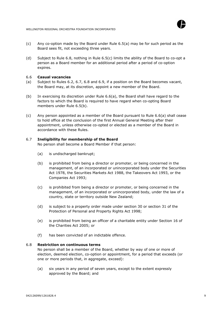



- (c) Any co-option made by the Board under Rule 6.5(a) may be for such period as the Board sees fit, not exceeding three years.
- (d) Subject to Rule 6.8, nothing in Rule 6.5(c) limits the ability of the Board to co-opt a person as a Board member for an additional period after a period of co-option expires.

## <span id="page-8-0"></span>6.6 **Casual vacancies**

- (a) Subject to Rules 6.2, 6.7, 6.8 and 6.9, if a position on the Board becomes vacant, the Board may, at its discretion, appoint a new member of the Board.
- (b) In exercising its discretion under Rule 6.6(a), the Board shall have regard to the factors to which the Board is required to have regard when co-opting Board members under Rule 6.5(b).
- (c) Any person appointed as a member of the Board pursuant to Rule 6.6(a) shall cease to hold office at the conclusion of the first Annual General Meeting after their appointment, unless otherwise co-opted or elected as a member of the Board in accordance with these Rules.

# 6.7 **Ineligibility for membership of the Board**

<span id="page-8-1"></span>No person shall become a Board Member if that person:

- (a) is undischarged bankrupt;
- (b) is prohibited from being a director or promoter, or being concerned in the management, of an incorporated or unincorporated body under the Securities Act 1978, the Securities Markets Act 1988, the Takeovers Act 1993, or the Companies Act 1993;
- (c) is prohibited from being a director or promoter, or being concerned in the management, of an incorporated or unincorporated body, under the law of a country, state or territory outside New Zealand;
- (d) is subject to a property order made under section 30 or section 31 of the Protection of Personal and Property Rights Act 1998;
- (e) is prohibited from being an officer of a charitable entity under Section 16 of the Charities Act 2005; or
- (f) has been convicted of an indictable offence.

# 6.8 **Restriction on continuous terms**

<span id="page-8-2"></span>No person shall be a member of the Board, whether by way of one or more of election, deemed election, co-option or appointment, for a period that exceeds (or one or more periods that, in aggregate, exceed):

(a) six years in any period of seven years, except to the extent expressly approved by the Board; and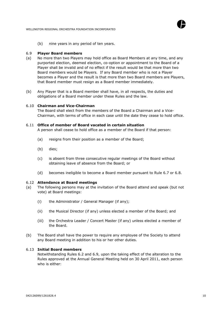

<span id="page-9-0"></span>(b) nine years in any period of ten years.

## 6.9 **Player Board members**

- (a) No more than two Players may hold office as Board Members at any time, and any purported election, deemed election, co-option or appointment to the Board of a Player shall be invalid and of no effect if the result would be that more than two Board members would be Players. If any Board member who is not a Player becomes a Player and the result is that more than two Board members are Players, that Board member must resign as a Board member immediately.
- (b) Any Player that is a Board member shall have, in all respects, the duties and obligations of a Board member under these Rules and the law.

#### 6.10 **Chairman and Vice-Chairman**

<span id="page-9-1"></span>The Board shall elect from the members of the Board a Chairman and a Vice-Chairman, with terms of office in each case until the date they cease to hold office.

#### 6.11 **Office of member of Board vacated in certain situation**

<span id="page-9-2"></span>A person shall cease to hold office as a member of the Board if that person:

- (a) resigns from their position as a member of the Board;
- (b) dies;
- (c) is absent from three consecutive regular meetings of the Board without obtaining leave of absence from the Board; or
- <span id="page-9-3"></span>(d) becomes ineligible to become a Board member pursuant to Rule 6.7 or 6.8.

# 6.12 **Attendance at Board meetings**

- (a) The following persons may at the invitation of the Board attend and speak (but not vote) at Board meetings:
	- (i) the Administrator / General Manager (if any);
	- (ii) the Musical Director (if any) unless elected a member of the Board; and
	- (iii) the Orchestra Leader / Concert Master (if any) unless elected a member of the Board.
- (b) The Board shall have the power to require any employee of the Society to attend any Board meeting in addition to his or her other duties.

# 6.13 **Initial Board members**

<span id="page-9-4"></span>Notwithstanding Rules 6.2 and 6.9, upon the taking effect of the alteration to the Rules approved at the Annual General Meeting held on 30 April 2011, each person who is either: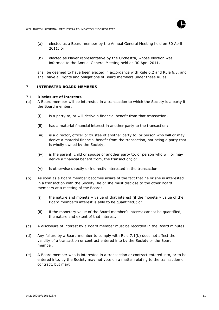

- (a) elected as a Board member by the Annual General Meeting held on 30 April 2011; or
- (b) elected as Player representative by the Orchestra, whose election was informed to the Annual General Meeting held on 30 April 2011,

shall be deemed to have been elected in accordance with Rule 6.2 and Rule 6.3, and shall have all rights and obligations of Board members under these Rules.

# <span id="page-10-0"></span>7 **INTERESTED BOARD MEMBERS**

#### <span id="page-10-1"></span>7.1 **Disclosure of interests**

- (a) A Board member will be interested in a transaction to which the Society is a party if the Board member:
	- (i) is a party to, or will derive a financial benefit from that transaction;
	- (ii) has a material financial interest in another party to the transaction;
	- (iii) is a director, officer or trustee of another party to, or person who will or may derive a material financial benefit from the transaction, not being a party that is wholly owned by the Society;
	- (iv) is the parent, child or spouse of another party to, or person who will or may derive a financial benefit from, the transaction; or
	- (v) is otherwise directly or indirectly interested in the transaction.
- (b) As soon as a Board member becomes aware of the fact that he or she is interested in a transaction with the Society, he or she must disclose to the other Board members at a meeting of the Board:
	- (i) the nature and monetary value of that interest (if the monetary value of the Board member's interest is able to be quantified); or
	- (ii) if the monetary value of the Board member's interest cannot be quantified, the nature and extent of that interest.
- (c) A disclosure of interest by a Board member must be recorded in the Board minutes.
- (d) Any failure by a Board member to comply with Rule 7.1(b) does not affect the validity of a transaction or contract entered into by the Society or the Board member.
- (e) A Board member who is interested in a transaction or contract entered into, or to be entered into, by the Society may not vote on a matter relating to the transaction or contract, but may: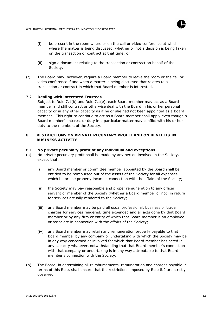<span id="page-11-0"></span>

- (i) be present in the room where or on the call or video conference at which where the matter is being discussed, whether or not a decision is being taken on the transaction or contract at that time; or
- (ii) sign a document relating to the transaction or contract on behalf of the Society.
- (f) The Board may, however, require a Board member to leave the room or the call or video conference if and when a matter is being discussed that relates to a transaction or contract in which that Board member is interested.

# 7.2 **Dealing with interested Trustees**

Subject to Rule 7.1(b) and Rule 7.1(e), each Board member may act as a Board member and still contract or otherwise deal with the Board in his or her personal capacity or in any other capacity as if he or she had not been appointed as a Board member. This right to continue to act as a Board member shall apply even though a Board member's interest or duty in a particular matter may conflict with his or her duty to the members of the Society.

# <span id="page-11-1"></span>8 **RESTRICTIONS ON PRIVATE PECUNIARY PROFIT AND ON BENEFITS IN BUSINESS ACTIVITY**

#### 8.1 **No private pecuniary profit of any individual and exceptions**

- (a) No private pecuniary profit shall be made by any person involved in the Society, except that:
	- (i) any Board member or committee member appointed by the Board shall be entitled to be reimbursed out of the assets of the Society for all expenses which he or she properly incurs in connection with the affairs of the Society;
	- (ii) the Society may pay reasonable and proper remuneration to any officer, servant or member of the Society (whether a Board member or not) in return for services actually rendered to the Society;
	- (iii) any Board member may be paid all usual professional, business or trade charges for services rendered, time expended and all acts done by that Board member or by any firm or entity of which that Board member is an employee or associate in connection with the affairs of the Society;
	- (iv) any Board member may retain any remuneration properly payable to that Board member by any company or undertaking with which the Society may be in any way concerned or involved for which that Board member has acted in any capacity whatever, notwithstanding that that Board member's connection with that company or undertaking is in any way attributable to that Board member's connection with the Society.
- (b) The Board, in determining all reimbursements, remuneration and charges payable in terms of this Rule, shall ensure that the restrictions imposed by Rule 8.2 are strictly observed.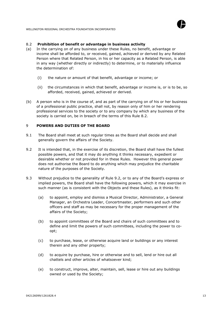



## <span id="page-12-0"></span>8.2 **Prohibition of benefit or advantage in business activity**

- (a) In the carrying on of any business under these Rules, no benefit, advantage or income shall be afforded to, or received, gained, achieved or derived by any Related Person where that Related Person, in his or her capacity as a Related Person, is able in any way (whether directly or indirectly) to determine, or to materially influence the determination of:
	- (i) the nature or amount of that benefit, advantage or income; or
	- (ii) the circumstances in which that benefit, advantage or income is, or is to be, so afforded, received, gained, achieved or derived.
- (b) A person who is in the course of, and as part of the carrying on of his or her business of a professional public practice, shall not, by reason only of him or her rendering professional services to the society or to any company by which any business of the society is carried on, be in breach of the terms of this Rule 8.2.

# <span id="page-12-1"></span>9 **POWERS AND DUTIES OF THE BOARD**

- 9.1 The Board shall meet at such regular times as the Board shall decide and shall generally govern the affairs of the Society.
- 9.2 It is intended that, in the exercise of its discretion, the Board shall have the fullest possible powers, and that it may do anything it thinks necessary, expedient or desirable whether or not provided for in these Rules. However this general power does not authorise the Board to do anything which may prejudice the charitable nature of the purposes of the Society.
- 9.3 Without prejudice to the generality of Rule 9.2, or to any of the Board's express or implied powers, the Board shall have the following powers, which it may exercise in such manner (as is consistent with the Objects and these Rules), as it thinks fit:
	- (a) to appoint, employ and dismiss a Musical Director, Administrator, a General Manager, an Orchestra Leader, Concertmaster, performers and such other officers and staff as may be necessary for the proper management of the affairs of the Society;
	- (b) to appoint committees of the Board and chairs of such committees and to define and limit the powers of such committees, including the power to coopt;
	- (c) to purchase, lease, or otherwise acquire land or buildings or any interest therein and any other property;
	- (d) to acquire by purchase, hire or otherwise and to sell, lend or hire out all chattels and other articles of whatsoever kind;
	- (e) to construct, improve, alter, maintain, sell, lease or hire out any buildings owned or used by the Society;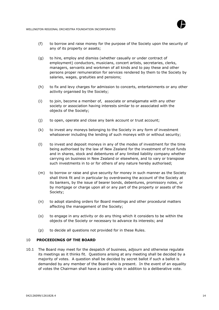



- (f) to borrow and raise money for the purpose of the Society upon the security of any of its property or assets;
- (g) to hire, employ and dismiss (whether casually or under contract of employment) conductors, musicians, concert artists, secretaries, clerks, managers, servants and workmen of all kinds and to pay these and other persons proper remuneration for services rendered by them to the Society by salaries, wages, gratuities and pensions;
- (h) to fix and levy charges for admission to concerts, entertainments or any other activity organised by the Society;
- (i) to join, become a member of, associate or amalgamate with any other society or association having interests similar to or associated with the objects of the Society;
- (j) to open, operate and close any bank account or trust account;
- (k) to invest any moneys belonging to the Society in any form of investment whatsoever including the lending of such moneys with or without security;
- (l) to invest and deposit moneys in any of the modes of investment for the time being authorised by the law of New Zealand for the investment of trust funds and in shares, stock and debentures of any limited liability company whether carrying on business in New Zealand or elsewhere, and to vary or transpose such investments in to or for others of any nature hereby authorised;
- (m) to borrow or raise and give security for money in such manner as the Society shall think fit and in particular by overdrawing the account of the Society at its bankers, by the issue of bearer bonds, debentures, promissory notes, or by mortgage or charge upon all or any part of the property or assets of the Society;
- (n) to adopt standing orders for Board meetings and other procedural matters affecting the management of the Society;
- (o) to engage in any activity or do any thing which it considers to be within the objects of the Society or necessary to advance its interests; and
- <span id="page-13-0"></span>(p) to decide all questions not provided for in these Rules.

# 10 **PROCEEDINGS OF THE BOARD**

10.1 The Board may meet for the despatch of business, adjourn and otherwise regulate its meetings as it thinks fit. Questions arising at any meeting shall be decided by a majority of votes. A question shall be decided by secret ballot if such a ballot is demanded by any member of the Board who is present. In the event of an equality of votes the Chairman shall have a casting vote in addition to a deliberative vote.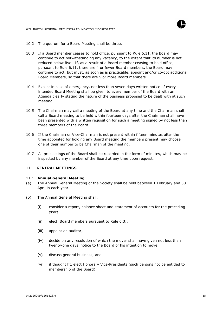



- 10.2 The quorum for a Board Meeting shall be three.
- 10.3 If a Board member ceases to hold office, pursuant to Rule 6.11, the Board may continue to act notwithstanding any vacancy, to the extent that its number is not reduced below five. If, as a result of a Board member ceasing to hold office, pursuant to Rule 6.11, there are 4 or fewer Board members, the Board may continue to act, but must, as soon as is practicable, appoint and/or co-opt additional Board Members, so that there are 5 or more Board members.
- 10.4 Except in case of emergency, not less than seven days written notice of every intended Board Meeting shall be given to every member of the Board with an Agenda clearly stating the nature of the business proposed to be dealt with at such meeting.
- 10.5 The Chairman may call a meeting of the Board at any time and the Chairman shall call a Board meeting to be held within fourteen days after the Chairman shall have been presented with a written requisition for such a meeting signed by not less than three members of the Board.
- 10.6 If the Chairman or Vice-Chairman is not present within fifteen minutes after the time appointed for holding any Board meeting the members present may choose one of their number to be Chairman of the meeting.
- 10.7 All proceedings of the Board shall be recorded in the form of minutes, which may be inspected by any member of the Board at any time upon request.

# <span id="page-14-0"></span>11 **GENERAL MEETINGS**

#### <span id="page-14-1"></span>11.1 **Annual General Meeting**

- (a) The Annual General Meeting of the Society shall be held between 1 February and 30 April in each year.
- (b) The Annual General Meeting shall:
	- (i) consider a report, balance sheet and statement of accounts for the preceding year;
	- (ii) elect Board members pursuant to Rule 6.3;.
	- (iii) appoint an auditor;
	- (iv) decide on any resolution of which the mover shall have given not less than twenty-one days' notice to the Board of his intention to move;
	- (v) discuss general business; and
	- (vi) if thought fit, elect Honorary Vice-Presidents (such persons not be entitled to membership of the Board).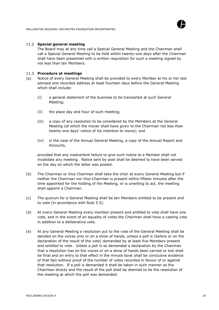

#### 11.2 **Special general meeting**

<span id="page-15-0"></span>The Board may at any time call a Special General Meeting and the Chairman shall call a Special General Meeting to be held within twenty-one days after the Chairman shall have been presented with a written requisition for such a meeting signed by not less than ten Members.

#### <span id="page-15-1"></span>11.3 **Procedure at meetings**

- (a) Notice of every General Meeting shall be provided to every Member at his or her last advised and recorded address at least fourteen days before the General Meeting which shall include:
	- (i) a general statement of the business to be transacted at such General Meeting;
	- (ii) the place day and hour of such meeting;
	- (iii) a copy of any resolution to be considered by the Members at the General Meeting (of which the mover shall have given to the Chairman not less than twenty-one days' notice of his intention to move); and
	- (iv) in the case of the Annual General Meeting, a copy of the Annual Report and Accounts,

provided that any inadvertent failure to give such notice to a Member shall not invalidate any meeting. Notice sent by post shall be deemed to have been served on the day on which the letter was posted.

- (b) The Chairman or Vice Chairman shall take the chair at every General Meeting but if neither the Chairman nor Vice-Chairman is present within fifteen minutes after the time appointed for the holding of the Meeting, or is unwilling to act, the meeting shall appoint a Chairman.
- (c) The quorum for a General Meeting shall be ten Members entitled to be present and to vote (in accordance with Rule 5.5).
- (d) At every General Meeting every member present and entitled to vote shall have one vote, and in the event of an equality of votes the Chairman shall have a casting vote in addition to a deliberative vote.
- (e) At any General Meeting a resolution put to the vote of the General Meeting shall be decided on the voices only or on a show of hands, unless a poll is (before or on the declaration of the result of the vote) demanded by at least five Members present and entitled to vote. Unless a poll is so demanded a declaration by the Chairman that a resolution has on the voices or on a show of hands been carried or lost shall be final and an entry to that effect in the minute book shall be conclusive evidence of that fact without proof of the number of votes recorded in favour of or against that resolution. If a poll is demanded it shall be taken in such manner as the Chairman directs and the result of the poll shall be deemed to be the resolution of the meeting at which the poll was demanded.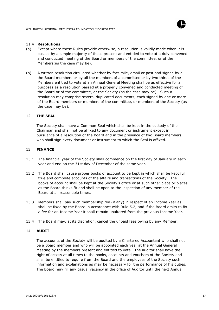

#### <span id="page-16-0"></span>11.4 **Resolutions**

- (a) Except where these Rules provide otherwise, a resolution is validly made when it is passed by a simple majority of those present and entitled to vote at a duly convened and conducted meeting of the Board or members of the committee, or of the Members(as the case may be).
- (b) A written resolution circulated whether by facsimile, email or post and signed by all the Board members or by all the members of a committee or by two thirds of the Members entitled to vote at an Annual General Meeting shall be as effective for all purposes as a resolution passed at a properly convened and conducted meeting of the Board or of the committee, or the Society (as the case may be). Such a resolution may comprise several duplicated documents, each signed by one or more of the Board members or members of the committee, or members of the Society (as the case may be).

## 12 **THE SEAL**

<span id="page-16-1"></span>The Society shall have a Common Seal which shall be kept in the custody of the Chairman and shall not be affixed to any document or instrument except in pursuance of a resolution of the Board and in the presence of two Board members who shall sign every document or instrument to which the Seal is affixed.

#### <span id="page-16-2"></span>13 **FINANCE**

- 13.1 The financial year of the Society shall commence on the first day of January in each year and end on the 31st day of December of the same year.
- 13.2 The Board shall cause proper books of account to be kept in which shall be kept full true and complete accounts of the affairs and transactions of the Society. The books of account shall be kept at the Society's office or at such other place or places as the Board thinks fit and shall be open to the inspection of any member of the Board at all reasonable times.
- 13.3 Members shall pay such membership fee (if any) in respect of an Income Year as shall be fixed by the Board in accordance with Rule 5.2, and if the Board omits to fix a fee for an Income Year it shall remain unaltered from the previous Income Year.
- 13.4 The Board may, at its discretion, cancel the unpaid fees owing by any Member.

#### <span id="page-16-3"></span>14 **AUDIT**

The accounts of the Society will be audited by a Chartered Accountant who shall not be a Board member and who will be appointed each year at the Annual General Meeting by the members present and entitled to vote. The auditor shall have the right of access at all times to the books, accounts and vouchers of the Society and shall be entitled to require from the Board and the employees of the Society such information and explanations as may be necessary for the performance of his duties. The Board may fill any casual vacancy in the office of Auditor until the next Annual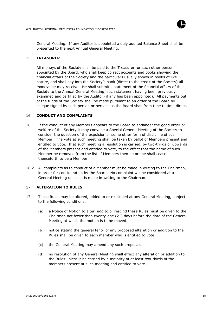

General Meeting. If any Auditor is appointed a duly audited Balance Sheet shall be presented to the next Annual General Meeting.

#### 15 **TREASURER**

<span id="page-17-0"></span>All moneys of the Society shall be paid to the Treasurer, or such other person appointed by the Board, who shall keep correct accounts and books showing the financial affairs of the Society and the particulars usually shown in books of like nature, and shall pay into the Society's bank (direct to the credit of the Society) all moneys he may receive. He shall submit a statement of the financial affairs of the Society to the Annual General Meeting, such statement having been previously examined and certified by the Auditor (if any has been appointed). All payments out of the funds of the Society shall be made pursuant to an order of the Board by cheque signed by such person or persons as the Board shall from time to time direct.

#### <span id="page-17-1"></span>16 **CONDUCT AND COMPLAINTS**

- 16.1 If the conduct of any Members appears to the Board to endanger the good order or welfare of the Society it may convene a Special General Meeting of the Society to consider the question of the expulsion or some other form of discipline of such Member. The vote at such meeting shall be taken by ballot of Members present and entitled to vote. If at such meeting a resolution is carried, by two-thirds or upwards of the Members present and entitled to vote, to the effect that the name of such Member be removed from the list of Members then he or she shall cease thenceforth to be a Member.
- 16.2 All complaints as to conduct of a Member must be made in writing to the Chairman, in order for consideration by the Board. No complaint will be considered at a General Meeting unless it is made in writing to the Chairman.

# <span id="page-17-2"></span>17 **ALTERATION TO RULES**

- 17.1 These Rules may be altered, added to or rescinded at any General Meeting, subject to the following conditions:
	- (a) a Notice of Motion to alter, add to or rescind these Rules must be given to the Chairman not fewer than twenty-one (21) days before the date of the General Meeting at which the motion is to be moved.
	- (b) notice stating the general tenor of any proposed alteration or addition to the Rules shall be given to each member who is entitled to vote.
	- (c) the General Meeting may amend any such proposals.
	- (d) no resolution of any General Meeting shall effect any alteration or addition to the Rules unless it be carried by a majority of at least two-thirds of the members present at such meeting and entitled to vote.